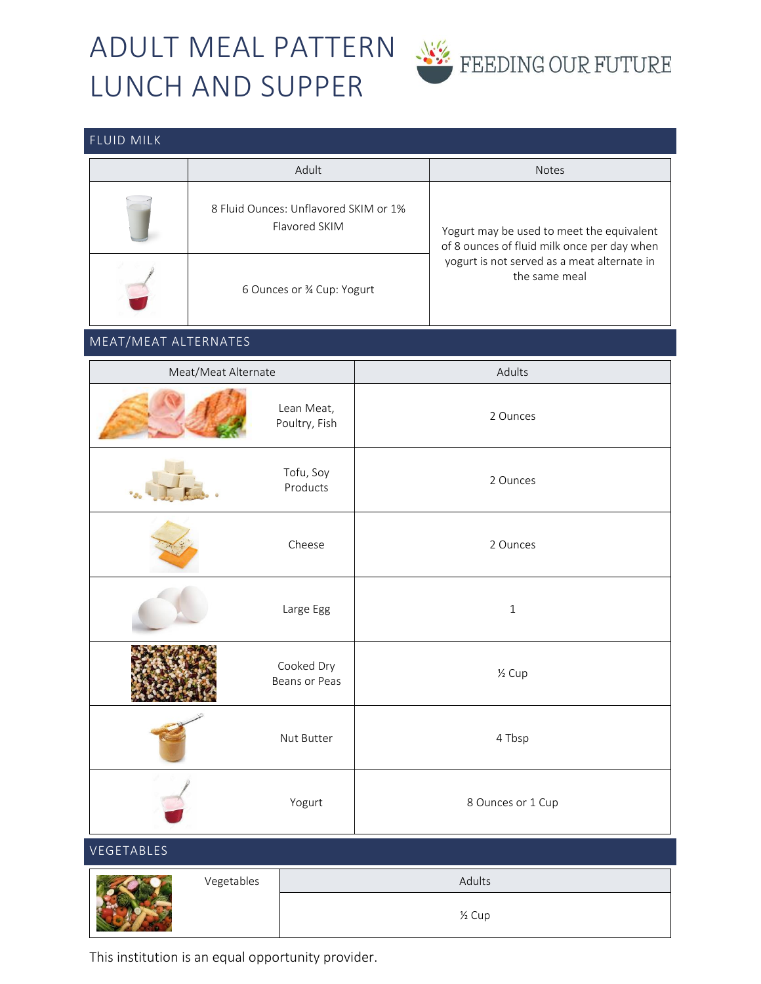# ADULT MEAL PATTERN LUNCH AND SUPPER



### FLUID MILK

| Adult                                                  | <b>Notes</b>                                                                             |  |
|--------------------------------------------------------|------------------------------------------------------------------------------------------|--|
| 8 Fluid Ounces: Unflavored SKIM or 1%<br>Flavored SKIM | Yogurt may be used to meet the equivalent<br>of 8 ounces of fluid milk once per day when |  |
| 6 Ounces or 34 Cup: Yogurt                             | yogurt is not served as a meat alternate in<br>the same meal                             |  |

### MEAT/MEAT ALTERNATES

| Meat/Meat Alternate |                             | Adults              |  |  |
|---------------------|-----------------------------|---------------------|--|--|
|                     | Lean Meat,<br>Poultry, Fish | 2 Ounces            |  |  |
|                     | Tofu, Soy<br>Products       | 2 Ounces            |  |  |
|                     | Cheese                      | 2 Ounces            |  |  |
|                     | Large Egg                   | $\,1\,$             |  |  |
|                     | Cooked Dry<br>Beans or Peas | $\frac{1}{2}$ Cup   |  |  |
|                     | Nut Butter                  | 4 Tbsp              |  |  |
|                     | Yogurt                      | 8 Ounces or 1 Cup   |  |  |
| VEGETABLES          |                             |                     |  |  |
| Vegetables          |                             | Adults              |  |  |
|                     |                             | 1/ <sub>2</sub> Cup |  |  |

This institution is an equal opportunity provider.

Lewis Lead